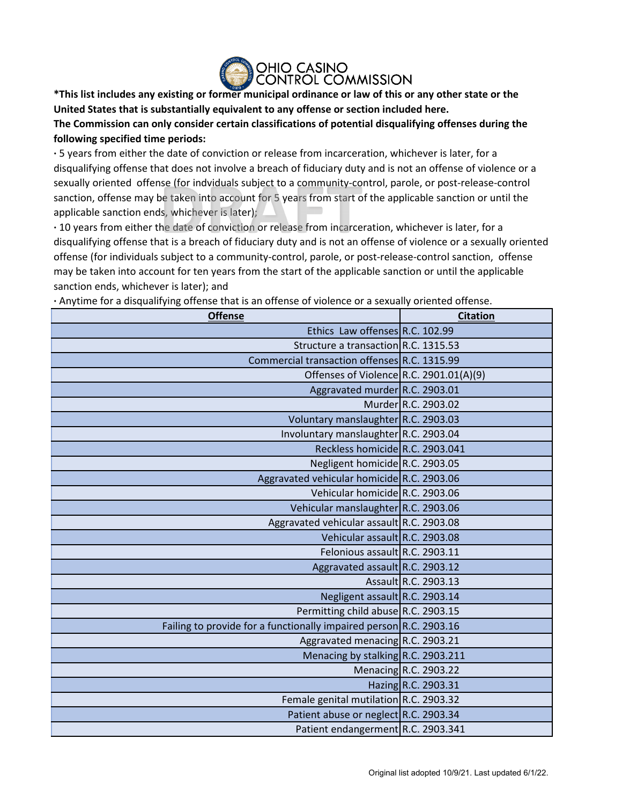

**\*This list includes any existing or former municipal ordinance or law of this or any other state or the United States that is substantially equivalent to any offense or section included here.**

**The Commission can only consider certain classifications of potential disqualifying offenses during the following specified time periods:**

**·** 5 years from either the date of conviction or release from incarceration, whichever is later, for a disqualifying offense that does not involve a breach of fiduciary duty and is not an offense of violence or a sexually oriented offense (for indviduals subject to a community-control, parole, or post-release-control sanction, offense may be taken into account for 5 years from start of the applicable sanction or until the applicable sanction ends, whichever is later);

**·** 10 years from either the date of conviction or release from incarceration, whichever is later, for a disqualifying offense that is a breach of fiduciary duty and is not an offense of violence or a sexually oriented offense (for individuals subject to a community-control, parole, or post-release-control sanction, offense may be taken into account for ten years from the start of the applicable sanction or until the applicable sanction ends, whichever is later); and

**·** Anytime for a disqualifying offense that is an offense of violence or a sexually oriented offense.

| <b>Offense</b>                                                     | <b>Citation</b>       |
|--------------------------------------------------------------------|-----------------------|
| Ethics Law offenses R.C. 102.99                                    |                       |
| Structure a transaction R.C. 1315.53                               |                       |
| Commercial transaction offenses R.C. 1315.99                       |                       |
| Offenses of Violence R.C. 2901.01(A)(9)                            |                       |
| Aggravated murder R.C. 2903.01                                     |                       |
|                                                                    | Murder R.C. 2903.02   |
| Voluntary manslaughter R.C. 2903.03                                |                       |
| Involuntary manslaughter R.C. 2903.04                              |                       |
| Reckless homicide R.C. 2903.041                                    |                       |
| Negligent homicide R.C. 2903.05                                    |                       |
| Aggravated vehicular homicide R.C. 2903.06                         |                       |
| Vehicular homicide R.C. 2903.06                                    |                       |
| Vehicular manslaughter R.C. 2903.06                                |                       |
| Aggravated vehicular assault R.C. 2903.08                          |                       |
| Vehicular assault R.C. 2903.08                                     |                       |
| Felonious assault R.C. 2903.11                                     |                       |
| Aggravated assault R.C. 2903.12                                    |                       |
|                                                                    | Assault R.C. 2903.13  |
| Negligent assault R.C. 2903.14                                     |                       |
| Permitting child abuse R.C. 2903.15                                |                       |
| Failing to provide for a functionally impaired person R.C. 2903.16 |                       |
| Aggravated menacing R.C. 2903.21                                   |                       |
| Menacing by stalking R.C. 2903.211                                 |                       |
|                                                                    | Menacing R.C. 2903.22 |
|                                                                    | Hazing R.C. 2903.31   |
| Female genital mutilation R.C. 2903.32                             |                       |
| Patient abuse or neglect R.C. 2903.34                              |                       |
| Patient endangerment R.C. 2903.341                                 |                       |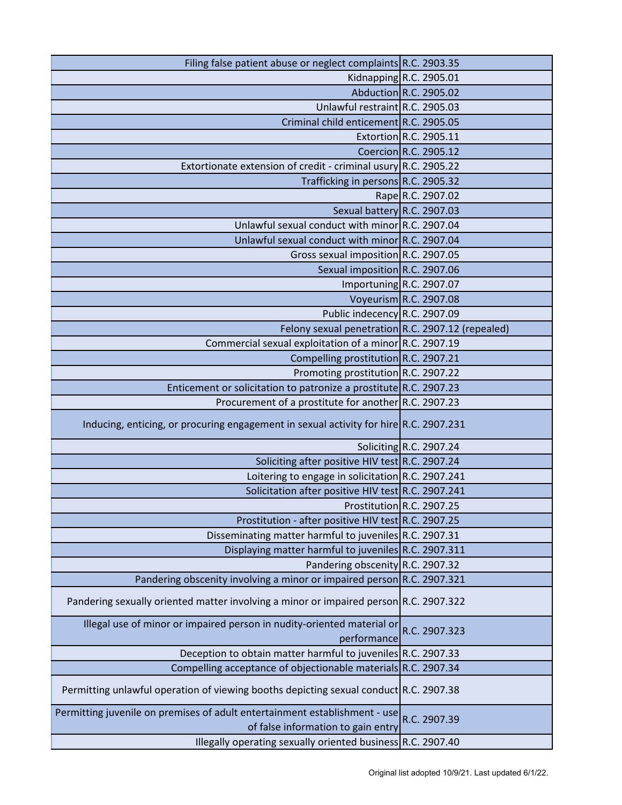| Filing false patient abuse or neglect complaints R.C. 2903.35                                                    |                           |
|------------------------------------------------------------------------------------------------------------------|---------------------------|
|                                                                                                                  | Kidnapping R.C. 2905.01   |
|                                                                                                                  | Abduction R.C. 2905.02    |
| Unlawful restraint R.C. 2905.03                                                                                  |                           |
| Criminal child enticement R.C. 2905.05                                                                           |                           |
|                                                                                                                  | Extortion R.C. 2905.11    |
|                                                                                                                  | Coercion R.C. 2905.12     |
| Extortionate extension of credit - criminal usury R.C. 2905.22                                                   |                           |
| Trafficking in persons R.C. 2905.32                                                                              |                           |
|                                                                                                                  | Rape R.C. 2907.02         |
| Sexual battery R.C. 2907.03                                                                                      |                           |
| Unlawful sexual conduct with minor R.C. 2907.04                                                                  |                           |
| Unlawful sexual conduct with minor R.C. 2907.04                                                                  |                           |
| Gross sexual imposition R.C. 2907.05                                                                             |                           |
| Sexual imposition R.C. 2907.06                                                                                   |                           |
|                                                                                                                  | Importuning R.C. 2907.07  |
|                                                                                                                  | Voyeurism R.C. 2907.08    |
| Public indecency R.C. 2907.09                                                                                    |                           |
| Felony sexual penetration R.C. 2907.12 (repealed)                                                                |                           |
| Commercial sexual exploitation of a minor R.C. 2907.19                                                           |                           |
| Compelling prostitution R.C. 2907.21                                                                             |                           |
| Promoting prostitution R.C. 2907.22                                                                              |                           |
| Enticement or solicitation to patronize a prostitute R.C. 2907.23                                                |                           |
| Procurement of a prostitute for another R.C. 2907.23                                                             |                           |
| Inducing, enticing, or procuring engagement in sexual activity for hire R.C. 2907.231                            |                           |
|                                                                                                                  | Soliciting $R.C. 2907.24$ |
| Soliciting after positive HIV test R.C. 2907.24                                                                  |                           |
| Loitering to engage in solicitation R.C. 2907.241                                                                |                           |
| Solicitation after positive HIV test R.C. 2907.241                                                               |                           |
|                                                                                                                  | Prostitution R.C. 2907.25 |
| Prostitution - after positive HIV test R.C. 2907.25                                                              |                           |
| Disseminating matter harmful to juveniles R.C. 2907.31                                                           |                           |
| Displaying matter harmful to juveniles R.C. 2907.311                                                             |                           |
| Pandering obscenity R.C. 2907.32                                                                                 |                           |
| Pandering obscenity involving a minor or impaired person R.C. 2907.321                                           |                           |
| Pandering sexually oriented matter involving a minor or impaired person R.C. 2907.322                            |                           |
| Illegal use of minor or impaired person in nudity-oriented material or<br>performance                            | R.C. 2907.323             |
| Deception to obtain matter harmful to juveniles R.C. 2907.33                                                     |                           |
| Compelling acceptance of objectionable materials R.C. 2907.34                                                    |                           |
| Permitting unlawful operation of viewing booths depicting sexual conduct R.C. 2907.38                            |                           |
| Permitting juvenile on premises of adult entertainment establishment - use<br>of false information to gain entry | R.C. 2907.39              |
| Illegally operating sexually oriented business $R.C. 2907.40$                                                    |                           |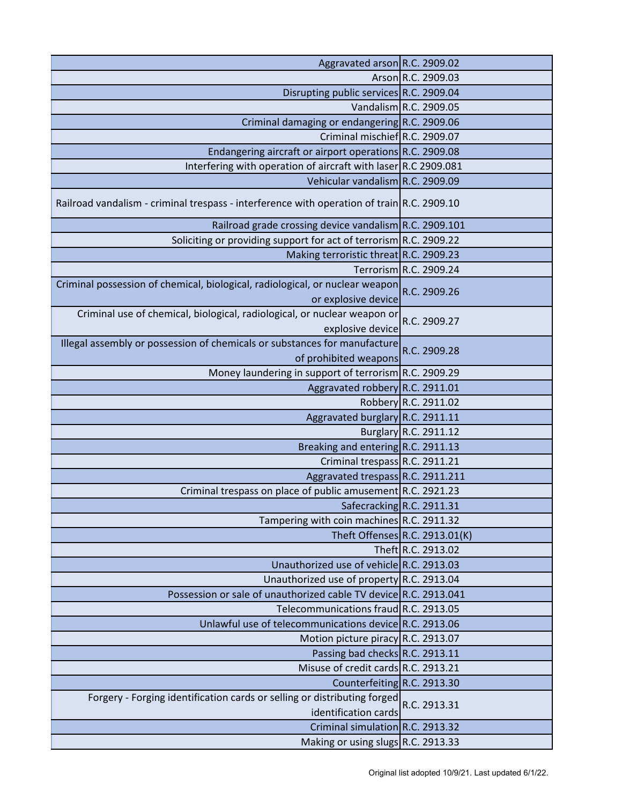| Aggravated arson R.C. 2909.02                                                                       |                                |
|-----------------------------------------------------------------------------------------------------|--------------------------------|
|                                                                                                     | Arson R.C. 2909.03             |
| Disrupting public services R.C. 2909.04                                                             |                                |
|                                                                                                     | Vandalism R.C. 2909.05         |
| Criminal damaging or endangering R.C. 2909.06                                                       |                                |
| Criminal mischief R.C. 2909.07                                                                      |                                |
| Endangering aircraft or airport operations R.C. 2909.08                                             |                                |
| Interfering with operation of aircraft with laser R.C 2909.081                                      |                                |
| Vehicular vandalism R.C. 2909.09                                                                    |                                |
| Railroad vandalism - criminal trespass - interference with operation of train R.C. 2909.10          |                                |
| Railroad grade crossing device vandalism R.C. 2909.101                                              |                                |
| Soliciting or providing support for act of terrorism R.C. 2909.22                                   |                                |
| Making terroristic threat R.C. 2909.23                                                              |                                |
|                                                                                                     | Terrorism R.C. 2909.24         |
| Criminal possession of chemical, biological, radiological, or nuclear weapon<br>or explosive device | R.C. 2909.26                   |
| Criminal use of chemical, biological, radiological, or nuclear weapon or<br>explosive device        | R.C. 2909.27                   |
| Illegal assembly or possession of chemicals or substances for manufacture<br>of prohibited weapons  | R.C. 2909.28                   |
| Money laundering in support of terrorism R.C. 2909.29                                               |                                |
| Aggravated robbery R.C. 2911.01                                                                     |                                |
|                                                                                                     | Robbery R.C. 2911.02           |
| Aggravated burglary R.C. 2911.11                                                                    |                                |
|                                                                                                     | Burglary R.C. 2911.12          |
| Breaking and entering R.C. 2911.13                                                                  |                                |
| Criminal trespass R.C. 2911.21                                                                      |                                |
| Aggravated trespass R.C. 2911.211                                                                   |                                |
| Criminal trespass on place of public amusement R.C. 2921.23                                         |                                |
|                                                                                                     | Safecracking R.C. 2911.31      |
| Tampering with coin machines R.C. 2911.32                                                           |                                |
|                                                                                                     | Theft Offenses R.C. 2913.01(K) |
|                                                                                                     | Theft R.C. 2913.02             |
| Unauthorized use of vehicle R.C. 2913.03                                                            |                                |
| Unauthorized use of property R.C. 2913.04                                                           |                                |
| Possession or sale of unauthorized cable TV device R.C. 2913.041                                    |                                |
| Telecommunications fraud R.C. 2913.05                                                               |                                |
| Unlawful use of telecommunications device R.C. 2913.06                                              |                                |
| Motion picture piracy R.C. 2913.07                                                                  |                                |
| Passing bad checks R.C. 2913.11                                                                     |                                |
| Misuse of credit cards R.C. 2913.21                                                                 |                                |
| Counterfeiting R.C. 2913.30                                                                         |                                |
| Forgery - Forging identification cards or selling or distributing forged<br>identification cards    | R.C. 2913.31                   |
| Criminal simulation R.C. 2913.32                                                                    |                                |
| Making or using slugs R.C. 2913.33                                                                  |                                |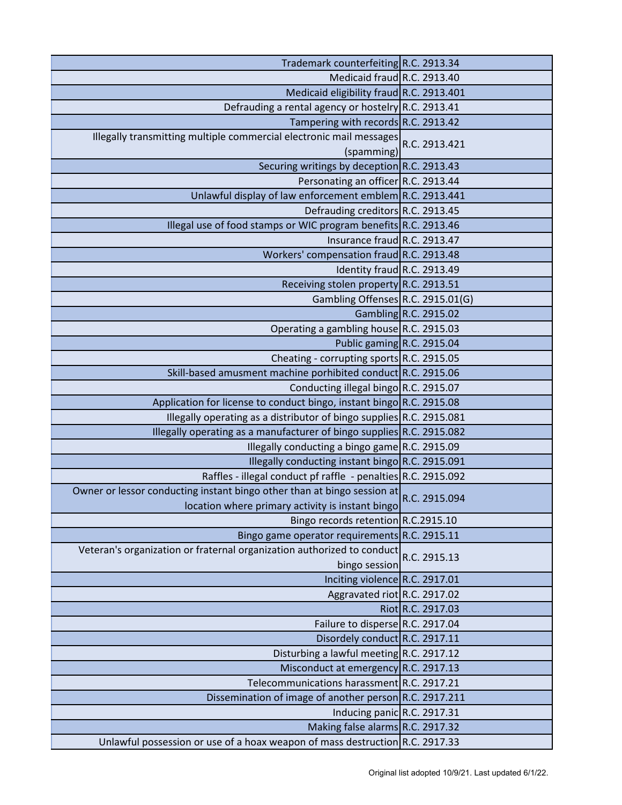| Trademark counterfeiting R.C. 2913.34                                                                                       |                       |
|-----------------------------------------------------------------------------------------------------------------------------|-----------------------|
| Medicaid fraud R.C. 2913.40                                                                                                 |                       |
| Medicaid eligibility fraud R.C. 2913.401                                                                                    |                       |
| Defrauding a rental agency or hostelry R.C. 2913.41                                                                         |                       |
| Tampering with records R.C. 2913.42                                                                                         |                       |
| Illegally transmitting multiple commercial electronic mail messages<br>(spamming)                                           | R.C. 2913.421         |
| Securing writings by deception R.C. 2913.43                                                                                 |                       |
| Personating an officer R.C. 2913.44                                                                                         |                       |
| Unlawful display of law enforcement emblem R.C. 2913.441                                                                    |                       |
| Defrauding creditors R.C. 2913.45                                                                                           |                       |
| Illegal use of food stamps or WIC program benefits R.C. 2913.46                                                             |                       |
| Insurance fraud R.C. 2913.47                                                                                                |                       |
| Workers' compensation fraud R.C. 2913.48                                                                                    |                       |
| Identity fraud R.C. 2913.49                                                                                                 |                       |
| Receiving stolen property R.C. 2913.51                                                                                      |                       |
| Gambling Offenses R.C. 2915.01(G)                                                                                           |                       |
|                                                                                                                             | Gambling R.C. 2915.02 |
| Operating a gambling house R.C. 2915.03                                                                                     |                       |
| Public gaming R.C. 2915.04                                                                                                  |                       |
| Cheating - corrupting sports R.C. 2915.05                                                                                   |                       |
| Skill-based amusment machine porhibited conduct R.C. 2915.06                                                                |                       |
| Conducting illegal bingo R.C. 2915.07                                                                                       |                       |
| Application for license to conduct bingo, instant bingo R.C. 2915.08                                                        |                       |
| Illegally operating as a distributor of bingo supplies R.C. 2915.081                                                        |                       |
| Illegally operating as a manufacturer of bingo supplies R.C. 2915.082                                                       |                       |
| Illegally conducting a bingo game R.C. 2915.09                                                                              |                       |
| Illegally conducting instant bingo R.C. 2915.091                                                                            |                       |
| Raffles - illegal conduct pf raffle - penalties R.C. 2915.092                                                               |                       |
| Owner or lessor conducting instant bingo other than at bingo session at<br>location where primary activity is instant bingo | R.C. 2915.094         |
| Bingo records retention R.C.2915.10                                                                                         |                       |
| Bingo game operator requirements R.C. 2915.11                                                                               |                       |
| Veteran's organization or fraternal organization authorized to conduct<br>bingo session                                     | R.C. 2915.13          |
| Inciting violence R.C. 2917.01                                                                                              |                       |
| Aggravated riot R.C. 2917.02                                                                                                |                       |
|                                                                                                                             | Riot R.C. 2917.03     |
| Failure to disperse R.C. 2917.04                                                                                            |                       |
| Disordely conduct R.C. 2917.11                                                                                              |                       |
| Disturbing a lawful meeting R.C. 2917.12                                                                                    |                       |
| Misconduct at emergency R.C. 2917.13                                                                                        |                       |
| Telecommunications harassment R.C. 2917.21                                                                                  |                       |
| Dissemination of image of another person R.C. 2917.211                                                                      |                       |
| Inducing panic R.C. 2917.31                                                                                                 |                       |
| Making false alarms R.C. 2917.32                                                                                            |                       |
| Unlawful possession or use of a hoax weapon of mass destruction R.C. 2917.33                                                |                       |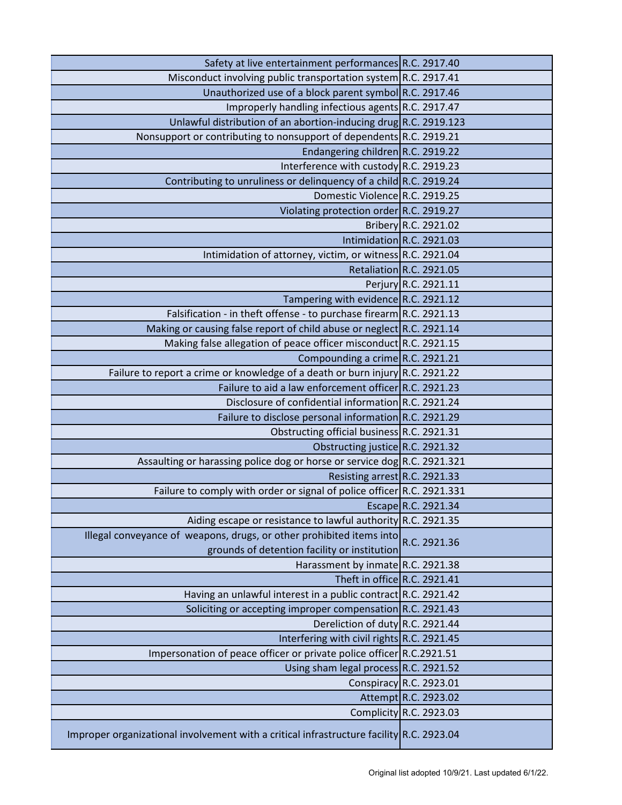| Safety at live entertainment performances R.C. 2917.40                                                               |                           |
|----------------------------------------------------------------------------------------------------------------------|---------------------------|
| Misconduct involving public transportation system R.C. 2917.41                                                       |                           |
| Unauthorized use of a block parent symbol R.C. 2917.46                                                               |                           |
| Improperly handling infectious agents R.C. 2917.47                                                                   |                           |
| Unlawful distribution of an abortion-inducing drug R.C. 2919.123                                                     |                           |
| Nonsupport or contributing to nonsupport of dependents R.C. 2919.21                                                  |                           |
| Endangering children R.C. 2919.22                                                                                    |                           |
| Interference with custody R.C. 2919.23                                                                               |                           |
| Contributing to unruliness or delinquency of a child R.C. 2919.24                                                    |                           |
| Domestic Violence R.C. 2919.25                                                                                       |                           |
| Violating protection order R.C. 2919.27                                                                              |                           |
|                                                                                                                      | Bribery R.C. 2921.02      |
|                                                                                                                      | Intimidation R.C. 2921.03 |
| Intimidation of attorney, victim, or witness R.C. 2921.04                                                            |                           |
|                                                                                                                      | Retaliation R.C. 2921.05  |
|                                                                                                                      | Perjury R.C. 2921.11      |
| Tampering with evidence R.C. 2921.12                                                                                 |                           |
| Falsification - in theft offense - to purchase firearm R.C. 2921.13                                                  |                           |
| Making or causing false report of child abuse or neglect R.C. 2921.14                                                |                           |
| Making false allegation of peace officer misconduct R.C. 2921.15                                                     |                           |
| Compounding a crime R.C. 2921.21                                                                                     |                           |
| Failure to report a crime or knowledge of a death or burn injury R.C. 2921.22                                        |                           |
| Failure to aid a law enforcement officer R.C. 2921.23                                                                |                           |
| Disclosure of confidential information R.C. 2921.24                                                                  |                           |
| Failure to disclose personal information R.C. 2921.29                                                                |                           |
| Obstructing official business R.C. 2921.31                                                                           |                           |
| Obstructing justice R.C. 2921.32                                                                                     |                           |
| Assaulting or harassing police dog or horse or service dog R.C. 2921.321                                             |                           |
| Resisting arrest R.C. 2921.33                                                                                        |                           |
| Failure to comply with order or signal of police officer R.C. 2921.331                                               |                           |
|                                                                                                                      | Escape R.C. 2921.34       |
| Aiding escape or resistance to lawful authority R.C. 2921.35                                                         |                           |
| Illegal conveyance of weapons, drugs, or other prohibited items into<br>grounds of detention facility or institution | R.C. 2921.36              |
| Harassment by inmate R.C. 2921.38                                                                                    |                           |
| Theft in office R.C. 2921.41                                                                                         |                           |
| Having an unlawful interest in a public contract R.C. 2921.42                                                        |                           |
| Soliciting or accepting improper compensation R.C. 2921.43                                                           |                           |
| Dereliction of duty R.C. 2921.44                                                                                     |                           |
| Interfering with civil rights R.C. 2921.45                                                                           |                           |
| Impersonation of peace officer or private police officer R.C.2921.51                                                 |                           |
| Using sham legal process R.C. 2921.52                                                                                |                           |
|                                                                                                                      | Conspiracy R.C. 2923.01   |
|                                                                                                                      | Attempt R.C. 2923.02      |
|                                                                                                                      | Complicity R.C. 2923.03   |
| Improper organizational involvement with a critical infrastructure facility R.C. 2923.04                             |                           |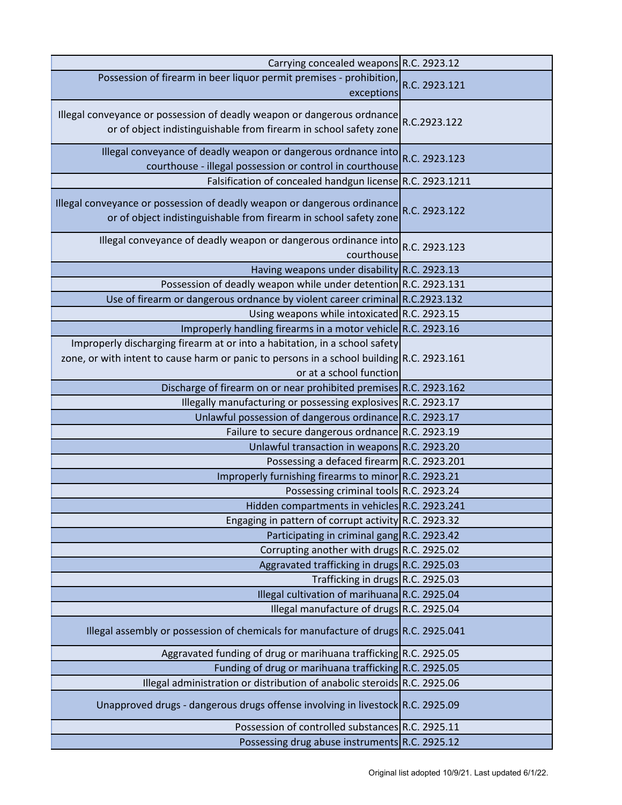| Carrying concealed weapons R.C. 2923.12                                                                                                                                                            |               |
|----------------------------------------------------------------------------------------------------------------------------------------------------------------------------------------------------|---------------|
| Possession of firearm in beer liquor permit premises - prohibition,<br>exceptions                                                                                                                  | R.C. 2923.121 |
| Illegal conveyance or possession of deadly weapon or dangerous ordnance<br>or of object indistinguishable from firearm in school safety zone                                                       | R.C.2923.122  |
| Illegal conveyance of deadly weapon or dangerous ordnance into<br>courthouse - illegal possession or control in courthouse                                                                         | R.C. 2923.123 |
| Falsification of concealed handgun license R.C. 2923.1211                                                                                                                                          |               |
| Illegal conveyance or possession of deadly weapon or dangerous ordinance<br>or of object indistinguishable from firearm in school safety zone                                                      | R.C. 2923.122 |
| Illegal conveyance of deadly weapon or dangerous ordinance into<br>courthouse                                                                                                                      | R.C. 2923.123 |
| Having weapons under disability R.C. 2923.13                                                                                                                                                       |               |
| Possession of deadly weapon while under detention R.C. 2923.131                                                                                                                                    |               |
| Use of firearm or dangerous ordnance by violent career criminal R.C.2923.132                                                                                                                       |               |
| Using weapons while intoxicated R.C. 2923.15                                                                                                                                                       |               |
| Improperly handling firearms in a motor vehicle R.C. 2923.16                                                                                                                                       |               |
| Improperly discharging firearm at or into a habitation, in a school safety<br>zone, or with intent to cause harm or panic to persons in a school building R.C. 2923.161<br>or at a school function |               |
| Discharge of firearm on or near prohibited premises R.C. 2923.162                                                                                                                                  |               |
| Illegally manufacturing or possessing explosives R.C. 2923.17                                                                                                                                      |               |
| Unlawful possession of dangerous ordinance R.C. 2923.17                                                                                                                                            |               |
| Failure to secure dangerous ordnance R.C. 2923.19                                                                                                                                                  |               |
| Unlawful transaction in weapons R.C. 2923.20                                                                                                                                                       |               |
| Possessing a defaced firearm R.C. 2923.201                                                                                                                                                         |               |
| Improperly furnishing firearms to minor R.C. 2923.21                                                                                                                                               |               |
| Possessing criminal tools R.C. 2923.24                                                                                                                                                             |               |
| Hidden compartments in vehicles R.C. 2923.241                                                                                                                                                      |               |
| Engaging in pattern of corrupt activity R.C. 2923.32                                                                                                                                               |               |
| Participating in criminal gang R.C. 2923.42                                                                                                                                                        |               |
| Corrupting another with drugs R.C. 2925.02                                                                                                                                                         |               |
| Aggravated trafficking in drugs R.C. 2925.03                                                                                                                                                       |               |
| Trafficking in drugs R.C. 2925.03                                                                                                                                                                  |               |
| Illegal cultivation of marihuana R.C. 2925.04                                                                                                                                                      |               |
| Illegal manufacture of drugs R.C. 2925.04                                                                                                                                                          |               |
| Illegal assembly or possession of chemicals for manufacture of drugs R.C. 2925.041                                                                                                                 |               |
| Aggravated funding of drug or marihuana trafficking R.C. 2925.05                                                                                                                                   |               |
| Funding of drug or marihuana trafficking R.C. 2925.05                                                                                                                                              |               |
| Illegal administration or distribution of anabolic steroids R.C. 2925.06                                                                                                                           |               |
| Unapproved drugs - dangerous drugs offense involving in livestock R.C. 2925.09                                                                                                                     |               |
| Possession of controlled substances R.C. 2925.11                                                                                                                                                   |               |
| Possessing drug abuse instruments R.C. 2925.12                                                                                                                                                     |               |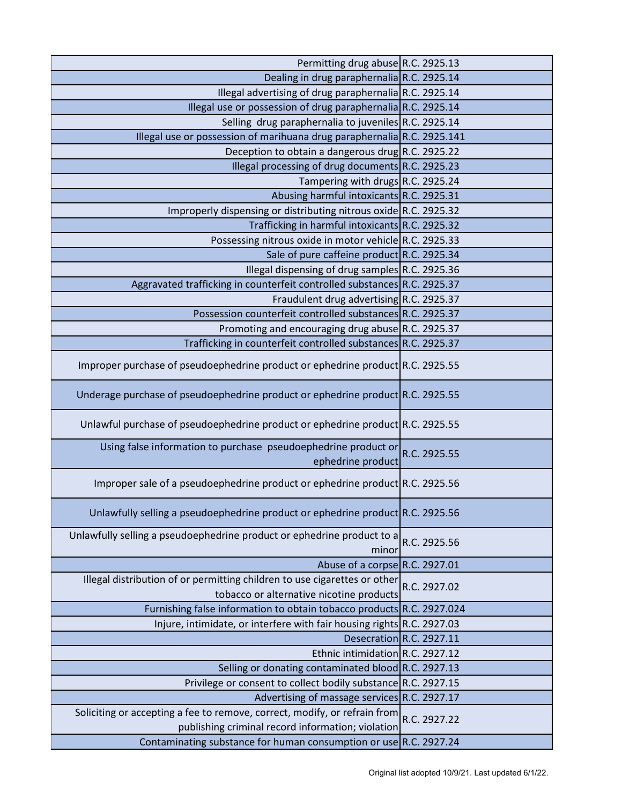| Permitting drug abuse R.C. 2925.13                                                                                             |                          |
|--------------------------------------------------------------------------------------------------------------------------------|--------------------------|
| Dealing in drug paraphernalia R.C. 2925.14                                                                                     |                          |
| Illegal advertising of drug paraphernalia R.C. 2925.14                                                                         |                          |
| Illegal use or possession of drug paraphernalia R.C. 2925.14                                                                   |                          |
| Selling drug paraphernalia to juveniles R.C. 2925.14                                                                           |                          |
| Illegal use or possession of marihuana drug paraphernalia $R.C. 2925.141$                                                      |                          |
| Deception to obtain a dangerous drug R.C. 2925.22                                                                              |                          |
| Illegal processing of drug documents R.C. 2925.23                                                                              |                          |
| Tampering with drugs R.C. 2925.24                                                                                              |                          |
| Abusing harmful intoxicants R.C. 2925.31                                                                                       |                          |
| Improperly dispensing or distributing nitrous oxide R.C. 2925.32                                                               |                          |
| Trafficking in harmful intoxicants R.C. 2925.32                                                                                |                          |
| Possessing nitrous oxide in motor vehicle R.C. 2925.33                                                                         |                          |
| Sale of pure caffeine product R.C. 2925.34                                                                                     |                          |
| Illegal dispensing of drug samples R.C. 2925.36                                                                                |                          |
| Aggravated trafficking in counterfeit controlled substances R.C. 2925.37                                                       |                          |
| Fraudulent drug advertising R.C. 2925.37                                                                                       |                          |
| Possession counterfeit controlled substances R.C. 2925.37                                                                      |                          |
| Promoting and encouraging drug abuse R.C. 2925.37                                                                              |                          |
| Trafficking in counterfeit controlled substances R.C. 2925.37                                                                  |                          |
| Improper purchase of pseudoephedrine product or ephedrine product R.C. 2925.55                                                 |                          |
| Underage purchase of pseudoephedrine product or ephedrine product R.C. 2925.55                                                 |                          |
| Unlawful purchase of pseudoephedrine product or ephedrine product R.C. 2925.55                                                 |                          |
| Using false information to purchase pseudoephedrine product or<br>ephedrine product                                            | R.C. 2925.55             |
| Improper sale of a pseudoephedrine product or ephedrine product R.C. 2925.56                                                   |                          |
| Unlawfully selling a pseudoephedrine product or ephedrine product R.C. 2925.56                                                 |                          |
| Unlawfully selling a pseudoephedrine product or ephedrine product to a<br>minor                                                | R.C. 2925.56             |
| Abuse of a corpse R.C. 2927.01                                                                                                 |                          |
| Illegal distribution of or permitting children to use cigarettes or other<br>tobacco or alternative nicotine products          | R.C. 2927.02             |
| Furnishing false information to obtain tobacco products R.C. 2927.024                                                          |                          |
| Injure, intimidate, or interfere with fair housing rights $R.C. 2927.03$                                                       |                          |
|                                                                                                                                | Desecration R.C. 2927.11 |
| Ethnic intimidation R.C. 2927.12                                                                                               |                          |
| Selling or donating contaminated blood R.C. 2927.13                                                                            |                          |
| Privilege or consent to collect bodily substance R.C. 2927.15                                                                  |                          |
| Advertising of massage services R.C. 2927.17                                                                                   |                          |
| Soliciting or accepting a fee to remove, correct, modify, or refrain from<br>publishing criminal record information; violation | R.C. 2927.22             |
| Contaminating substance for human consumption or use R.C. 2927.24                                                              |                          |